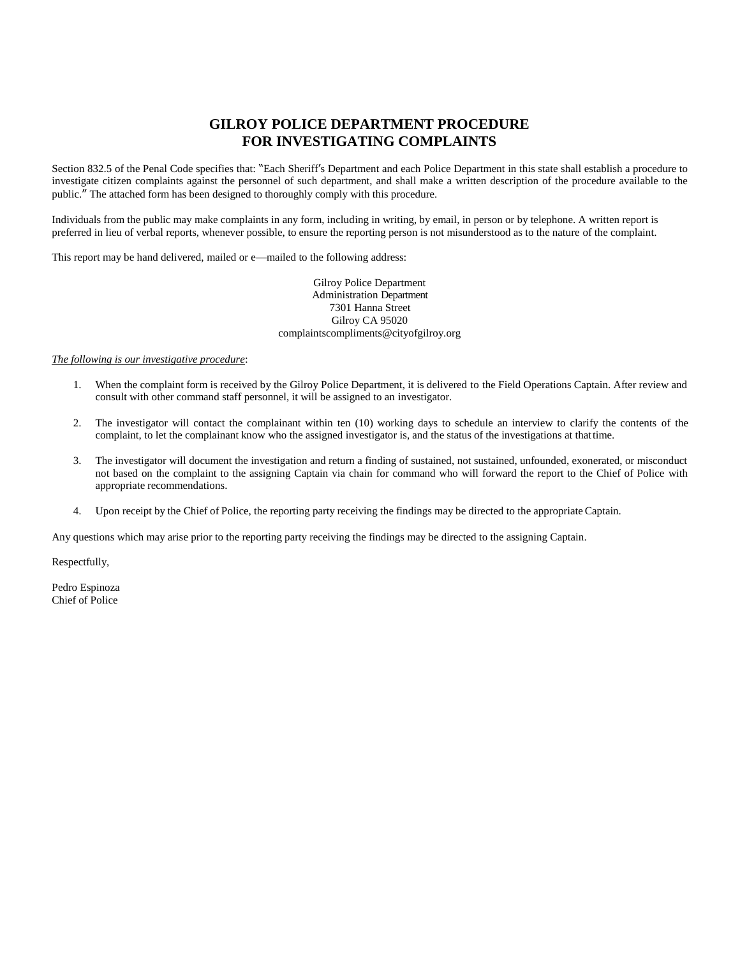## **GILROY POLICE DEPARTMENT PROCEDURE FOR INVESTIGATING COMPLAINTS**

Section 832.5 of the Penal Code specifies that: "Each Sheriff's Department and each Police Department in this state shall establish a procedure to investigate citizen complaints against the personnel of such department, and shall make a written description of the procedure available to the public." The attached form has been designed to thoroughly comply with this procedure.

Individuals from the public may make complaints in any form, including in writing, by email, in person or by telephone. A written report is preferred in lieu of verbal reports, whenever possible, to ensure the reporting person is not misunderstood as to the nature of the complaint.

This report may be hand delivered, mailed or e—mailed to the following address:

Gilroy Police Department Administration Department 7301 Hanna Street Gilroy CA 95020 complaintscompliments@cityofgilroy.org

## *The following is our investigative procedure*:

- 1. When the complaint form is received by the Gilroy Police Department, it is delivered to the Field Operations Captain. After review and consult with other command staff personnel, it will be assigned to an investigator.
- 2. The investigator will contact the complainant within ten (10) working days to schedule an interview to clarify the contents of the complaint, to let the complainant know who the assigned investigator is, and the status of the investigations at thattime.
- 3. The investigator will document the investigation and return a finding of sustained, not sustained, unfounded, exonerated, or misconduct not based on the complaint to the assigning Captain via chain for command who will forward the report to the Chief of Police with appropriate recommendations.
- 4. Upon receipt by the Chief of Police, the reporting party receiving the findings may be directed to the appropriateCaptain.

Any questions which may arise prior to the reporting party receiving the findings may be directed to the assigning Captain.

Respectfully,

Pedro Espinoza Chief of Police